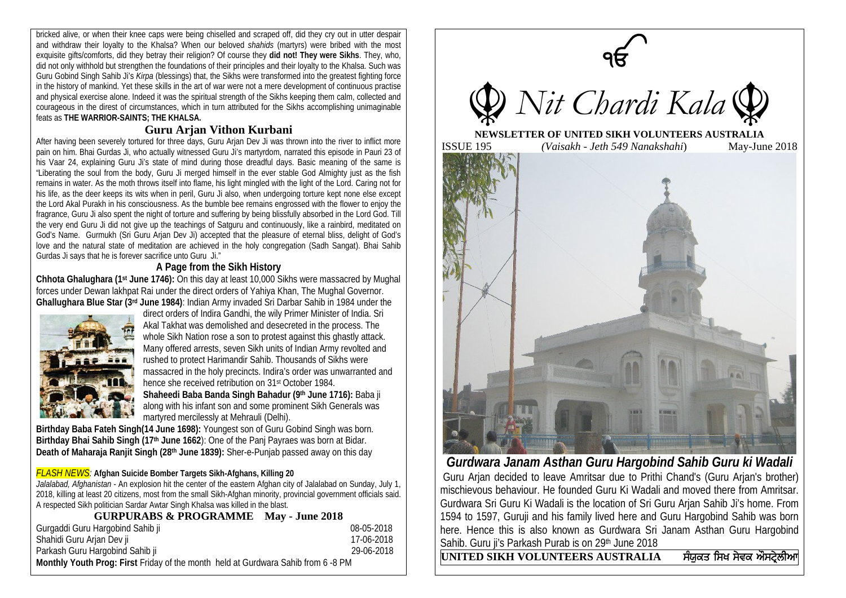bricked alive, or when their knee caps were being chiselled and scraped off, did they cry out in utter despair and withdraw their loyalty to the Khalsa? When our beloved *shahids* (martyrs) were bribed with the most exquisite gifts/comforts, did they betray their religion? Of course they **did not! They were Sikhs**. They, who, did not only withhold but strengthen the foundations of their principles and their loyalty to the Khalsa. Such was Guru Gobind Singh Sahib Ji's *Kirpa* (blessings) that, the Sikhs were transformed into the greatest fighting force in the history of mankind. Yet these skills in the art of war were not a mere development of continuous practise and physical exercise alone. Indeed it was the spiritual strength of the Sikhs keeping them calm, collected and courageous in the direst of circumstances, which in turn attributed for the Sikhs accomplishing unimaginable feats as **THE WARRIOR-SAINTS; THE KHALSA.**

## **Guru Arjan Vithon Kurbani**

After having been severely tortured for three days, Guru Arjan Dev Ji was thrown into the river to inflict more pain on him. Bhai Gurdas Ji, who actually witnessed Guru Ji's martyrdom, narrated this episode in Pauri 23 of his Vaar 24, explaining Guru Ji's state of mind during those dreadful days. Basic meaning of the same is "Liberating the soul from the body, Guru Ji merged himself in the ever stable God Almighty just as the fish remains in water. As the moth throws itself into flame, his light mingled with the light of the Lord. Caring not for his life, as the deer keeps its wits when in peril, Guru Ji also, when undergoing torture kept none else except the Lord Akal Purakh in his consciousness. As the bumble bee remains engrossed with the flower to enjoy the fragrance, Guru Ji also spent the night of torture and suffering by being blissfully absorbed in the Lord God. Till the very end Guru Ji did not give up the teachings of Satguru and continuously, like a rainbird, meditated on God's Name. Gurmukh (Sri Guru Arjan Dev Ji) accepted that the pleasure of eternal bliss, delight of God's love and the natural state of meditation are achieved in the holy congregation (Sadh Sangat). Bhai Sahib Gurdas Ji says that he is forever sacrifice unto Guru Ji."

### **A Page from the Sikh History**

**Chhota Ghalughara (1st June 1746):** On this day at least 10,000 Sikhs were massacred by Mughal forces under Dewan lakhpat Rai under the direct orders of Yahiya Khan, The Mughal Governor. **Ghallughara Blue Star (3rd June 1984)**: Indian Army invaded Sri Darbar Sahib in 1984 under the



direct orders of Indira Gandhi, the wily Primer Minister of India. Sri Akal Takhat was demolished and desecreted in the process. The whole Sikh Nation rose a son to protest against this ghastly attack. Many offered arrests, seven Sikh units of Indian Army revolted and rushed to protect Harimandir Sahib. Thousands of Sikhs were massacred in the holy precincts. Indira's order was unwarranted and hence she received retribution on 31st October 1984. **Shaheedi Baba Banda Singh Bahadur (9th June 1716):** Baba ji

along with his infant son and some prominent Sikh Generals was martyred mercilessly at Mehrauli (Delhi).

**Birthday Baba Fateh Singh(14 June 1698):** Youngest son of Guru Gobind Singh was born. **Birthday Bhai Sahib Singh (17th June 1662**): One of the Panj Payraes was born at Bidar. **Death of Maharaja Ranjit Singh (28th June 1839):** Sher-e-Punjab passed away on this day

#### *FLASH NEWS:* **Afghan Suicide Bomber Targets Sikh-Afghans, Killing 20**

*Jalalabad, Afghanistan* - An explosion hit the center of the eastern Afghan city of Jalalabad on Sunday, July 1, 2018, killing at least 20 citizens, most from the small Sikh-Afghan minority, provincial government officials said. A respected Sikh politician Sardar Awtar Singh Khalsa was killed in the blast.

| <b>GURPURABS &amp; PROGRAMME May - June 2018</b>                                  |            |
|-----------------------------------------------------------------------------------|------------|
| Gurgaddi Guru Hargobind Sahib ji                                                  | 08-05-2018 |
| Shahidi Guru Arjan Dev ji                                                         | 17-06-2018 |
| Parkash Guru Hargobind Sahib ji                                                   | 29-06-2018 |
| Monthly Youth Prog: First Friday of the month held at Gurdwara Sahib from 6 -8 PM |            |



*Gurdwara Janam Asthan Guru Hargobind Sahib Guru ki Wadali* Guru Arjan decided to leave Amritsar due to Prithi Chand's (Guru Arjan's brother) mischievous behaviour. He founded Guru Ki Wadali and moved there from Amritsar. Gurdwara Sri Guru Ki Wadali is the location of Sri Guru Arjan Sahib Ji's home. From 1594 to 1597, Guruji and his family lived here and Guru Hargobind Sahib was born here. Hence this is also known as Gurdwara Sri Janam Asthan Guru Hargobind Sahib. Guru ji's Parkash Purab is on 29<sup>th</sup> June 2018

 $\overline{\text{UNITED SIKH VOLUNTEERS AUSTRALIA}$  ਸੰਯੁਕਤ ਸਿਖ ਸੇਵਕ ਔਸਟੇਲੀਆ